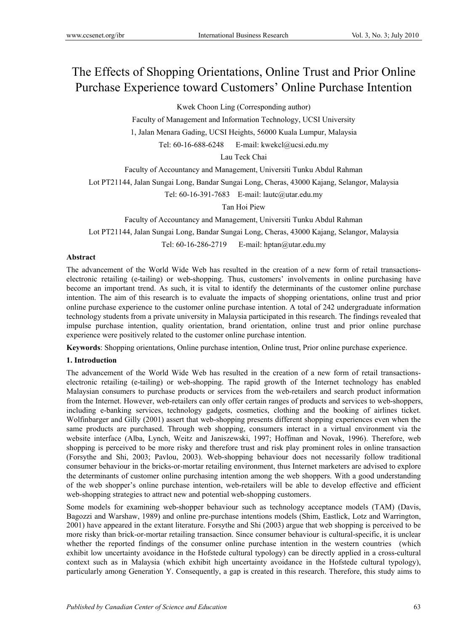# The Effects of Shopping Orientations, Online Trust and Prior Online Purchase Experience toward Customers' Online Purchase Intention

Kwek Choon Ling (Corresponding author)

Faculty of Management and Information Technology, UCSI University

1, Jalan Menara Gading, UCSI Heights, 56000 Kuala Lumpur, Malaysia

Tel: 60-16-688-6248 E-mail: kwekcl@ucsi.edu.my

Lau Teck Chai

Faculty of Accountancy and Management, Universiti Tunku Abdul Rahman

Lot PT21144, Jalan Sungai Long, Bandar Sungai Long, Cheras, 43000 Kajang, Selangor, Malaysia

Tel: 60-16-391-7683 E-mail: lautc@utar.edu.my

Tan Hoi Piew

Faculty of Accountancy and Management, Universiti Tunku Abdul Rahman Lot PT21144, Jalan Sungai Long, Bandar Sungai Long, Cheras, 43000 Kajang, Selangor, Malaysia Tel: 60-16-286-2719 E-mail: hptan@utar.edu.my

## **Abstract**

The advancement of the World Wide Web has resulted in the creation of a new form of retail transactionselectronic retailing (e-tailing) or web-shopping. Thus, customers' involvements in online purchasing have become an important trend. As such, it is vital to identify the determinants of the customer online purchase intention. The aim of this research is to evaluate the impacts of shopping orientations, online trust and prior online purchase experience to the customer online purchase intention. A total of 242 undergraduate information technology students from a private university in Malaysia participated in this research. The findings revealed that impulse purchase intention, quality orientation, brand orientation, online trust and prior online purchase experience were positively related to the customer online purchase intention.

**Keywords**: Shopping orientations, Online purchase intention, Online trust, Prior online purchase experience.

# **1. Introduction**

The advancement of the World Wide Web has resulted in the creation of a new form of retail transactionselectronic retailing (e-tailing) or web-shopping. The rapid growth of the Internet technology has enabled Malaysian consumers to purchase products or services from the web-retailers and search product information from the Internet. However, web-retailers can only offer certain ranges of products and services to web-shoppers, including e-banking services, technology gadgets, cosmetics, clothing and the booking of airlines ticket. Wolfinbarger and Gilly (2001) assert that web-shopping presents different shopping experiences even when the same products are purchased. Through web shopping, consumers interact in a virtual environment via the website interface (Alba, Lynch, Weitz and Janiszewski, 1997; Hoffman and Novak, 1996). Therefore, web shopping is perceived to be more risky and therefore trust and risk play prominent roles in online transaction (Forsythe and Shi, 2003; Pavlou, 2003). Web-shopping behaviour does not necessarily follow traditional consumer behaviour in the bricks-or-mortar retailing environment, thus Internet marketers are advised to explore the determinants of customer online purchasing intention among the web shoppers. With a good understanding of the web shopper's online purchase intention, web-retailers will be able to develop effective and efficient web-shopping strategies to attract new and potential web-shopping customers.

Some models for examining web-shopper behaviour such as technology acceptance models (TAM) (Davis, Bagozzi and Warshaw, 1989) and online pre-purchase intentions models (Shim, Eastlick, Lotz and Warrington, 2001) have appeared in the extant literature. Forsythe and Shi (2003) argue that web shopping is perceived to be more risky than brick-or-mortar retailing transaction. Since consumer behaviour is cultural-specific, it is unclear whether the reported findings of the consumer online purchase intention in the western countries (which exhibit low uncertainty avoidance in the Hofstede cultural typology) can be directly applied in a cross-cultural context such as in Malaysia (which exhibit high uncertainty avoidance in the Hofstede cultural typology), particularly among Generation Y. Consequently, a gap is created in this research. Therefore, this study aims to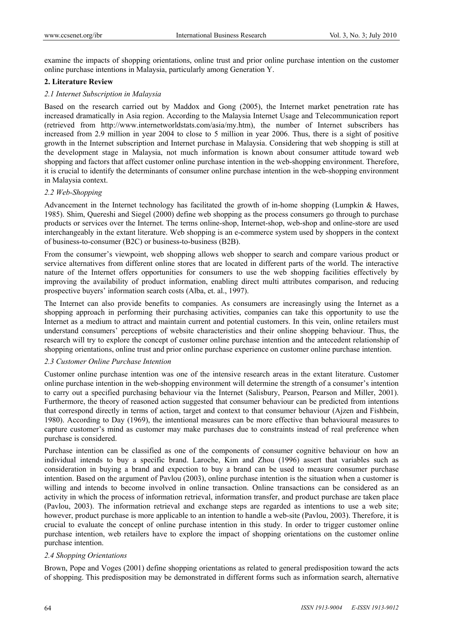examine the impacts of shopping orientations, online trust and prior online purchase intention on the customer online purchase intentions in Malaysia, particularly among Generation Y.

## **2. Literature Review**

## *2.1 Internet Subscription in Malaysia*

Based on the research carried out by Maddox and Gong (2005), the Internet market penetration rate has increased dramatically in Asia region. According to the Malaysia Internet Usage and Telecommunication report (retrieved from http://www.internetworldstats.com/asia/my.htm), the number of Internet subscribers has increased from 2.9 million in year 2004 to close to 5 million in year 2006. Thus, there is a sight of positive growth in the Internet subscription and Internet purchase in Malaysia. Considering that web shopping is still at the development stage in Malaysia, not much information is known about consumer attitude toward web shopping and factors that affect customer online purchase intention in the web-shopping environment. Therefore, it is crucial to identify the determinants of consumer online purchase intention in the web-shopping environment in Malaysia context.

## *2.2 Web-Shopping*

Advancement in the Internet technology has facilitated the growth of in-home shopping (Lumpkin & Hawes, 1985). Shim, Quereshi and Siegel (2000) define web shopping as the process consumers go through to purchase products or services over the Internet. The terms online-shop, Internet-shop, web-shop and online-store are used interchangeably in the extant literature. Web shopping is an e-commerce system used by shoppers in the context of business-to-consumer (B2C) or business-to-business (B2B).

From the consumer's viewpoint, web shopping allows web shopper to search and compare various product or service alternatives from different online stores that are located in different parts of the world. The interactive nature of the Internet offers opportunities for consumers to use the web shopping facilities effectively by improving the availability of product information, enabling direct multi attributes comparison, and reducing prospective buyers' information search costs (Alba, et. al., 1997).

The Internet can also provide benefits to companies. As consumers are increasingly using the Internet as a shopping approach in performing their purchasing activities, companies can take this opportunity to use the Internet as a medium to attract and maintain current and potential customers. In this vein, online retailers must understand consumers' perceptions of website characteristics and their online shopping behaviour. Thus, the research will try to explore the concept of customer online purchase intention and the antecedent relationship of shopping orientations, online trust and prior online purchase experience on customer online purchase intention.

## *2.3 Customer Online Purchase Intention*

Customer online purchase intention was one of the intensive research areas in the extant literature. Customer online purchase intention in the web-shopping environment will determine the strength of a consumer's intention to carry out a specified purchasing behaviour via the Internet (Salisbury, Pearson, Pearson and Miller, 2001). Furthermore, the theory of reasoned action suggested that consumer behaviour can be predicted from intentions that correspond directly in terms of action, target and context to that consumer behaviour (Ajzen and Fishbein, 1980). According to Day (1969), the intentional measures can be more effective than behavioural measures to capture customer's mind as customer may make purchases due to constraints instead of real preference when purchase is considered.

Purchase intention can be classified as one of the components of consumer cognitive behaviour on how an individual intends to buy a specific brand. Laroche, Kim and Zhou (1996) assert that variables such as consideration in buying a brand and expection to buy a brand can be used to measure consumer purchase intention. Based on the argument of Pavlou (2003), online purchase intention is the situation when a customer is willing and intends to become involved in online transaction. Online transactions can be considered as an activity in which the process of information retrieval, information transfer, and product purchase are taken place (Pavlou, 2003). The information retrieval and exchange steps are regarded as intentions to use a web site; however, product purchase is more applicable to an intention to handle a web-site (Pavlou, 2003). Therefore, it is crucial to evaluate the concept of online purchase intention in this study. In order to trigger customer online purchase intention, web retailers have to explore the impact of shopping orientations on the customer online purchase intention.

## *2.4 Shopping Orientations*

Brown, Pope and Voges (2001) define shopping orientations as related to general predisposition toward the acts of shopping. This predisposition may be demonstrated in different forms such as information search, alternative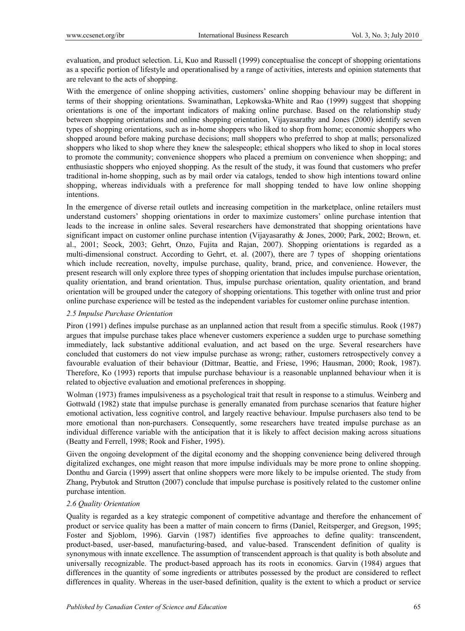evaluation, and product selection. Li, Kuo and Russell (1999) conceptualise the concept of shopping orientations as a specific portion of lifestyle and operationalised by a range of activities, interests and opinion statements that are relevant to the acts of shopping.

With the emergence of online shopping activities, customers' online shopping behaviour may be different in terms of their shopping orientations. Swaminathan, Lepkowska-White and Rao (1999) suggest that shopping orientations is one of the important indicators of making online purchase. Based on the relationship study between shopping orientations and online shopping orientation, Vijayasarathy and Jones (2000) identify seven types of shopping orientations, such as in-home shoppers who liked to shop from home; economic shoppers who shopped around before making purchase decisions; mall shoppers who preferred to shop at malls; personalized shoppers who liked to shop where they knew the salespeople; ethical shoppers who liked to shop in local stores to promote the community; convenience shoppers who placed a premium on convenience when shopping; and enthusiastic shoppers who enjoyed shopping. As the result of the study, it was found that customers who prefer traditional in-home shopping, such as by mail order via catalogs, tended to show high intentions toward online shopping, whereas individuals with a preference for mall shopping tended to have low online shopping intentions.

In the emergence of diverse retail outlets and increasing competition in the marketplace, online retailers must understand customers' shopping orientations in order to maximize customers' online purchase intention that leads to the increase in online sales. Several researchers have demonstrated that shopping orientations have significant impact on customer online purchase intention (Vijayasarathy & Jones, 2000; Park, 2002; Brown, et. al., 2001; Seock, 2003; Gehrt, Onzo, Fujita and Rajan, 2007). Shopping orientations is regarded as a multi-dimensional construct. According to Gehrt, et. al. (2007), there are 7 types of shopping orientations which include recreation, novelty, impulse purchase, quality, brand, price, and convenience. However, the present research will only explore three types of shopping orientation that includes impulse purchase orientation, quality orientation, and brand orientation. Thus, impulse purchase orientation, quality orientation, and brand orientation will be grouped under the category of shopping orientations. This together with online trust and prior online purchase experience will be tested as the independent variables for customer online purchase intention.

#### *2.5 Impulse Purchase Orientation*

Piron (1991) defines impulse purchase as an unplanned action that result from a specific stimulus. Rook (1987) argues that impulse purchase takes place whenever customers experience a sudden urge to purchase something immediately, lack substantive additional evaluation, and act based on the urge. Several researchers have concluded that customers do not view impulse purchase as wrong; rather, customers retrospectively convey a favourable evaluation of their behaviour (Dittmar, Beattie, and Friese, 1996; Hausman, 2000; Rook, 1987). Therefore, Ko (1993) reports that impulse purchase behaviour is a reasonable unplanned behaviour when it is related to objective evaluation and emotional preferences in shopping.

Wolman (1973) frames impulsiveness as a psychological trait that result in response to a stimulus. Weinberg and Gottwald (1982) state that impulse purchase is generally emanated from purchase scenarios that feature higher emotional activation, less cognitive control, and largely reactive behaviour. Impulse purchasers also tend to be more emotional than non-purchasers. Consequently, some researchers have treated impulse purchase as an individual difference variable with the anticipation that it is likely to affect decision making across situations (Beatty and Ferrell, 1998; Rook and Fisher, 1995).

Given the ongoing development of the digital economy and the shopping convenience being delivered through digitalized exchanges, one might reason that more impulse individuals may be more prone to online shopping. Donthu and Garcia (1999) assert that online shoppers were more likely to be impulse oriented. The study from Zhang, Prybutok and Strutton (2007) conclude that impulse purchase is positively related to the customer online purchase intention.

#### *2.6 Quality Orientation*

Quality is regarded as a key strategic component of competitive advantage and therefore the enhancement of product or service quality has been a matter of main concern to firms (Daniel, Reitsperger, and Gregson, 1995; Foster and Sjoblom, 1996). Garvin (1987) identifies five approaches to define quality: transcendent, product-based, user-based, manufacturing-based, and value-based. Transcendent definition of quality is synonymous with innate excellence. The assumption of transcendent approach is that quality is both absolute and universally recognizable. The product-based approach has its roots in economics. Garvin (1984) argues that differences in the quantity of some ingredients or attributes possessed by the product are considered to reflect differences in quality. Whereas in the user-based definition, quality is the extent to which a product or service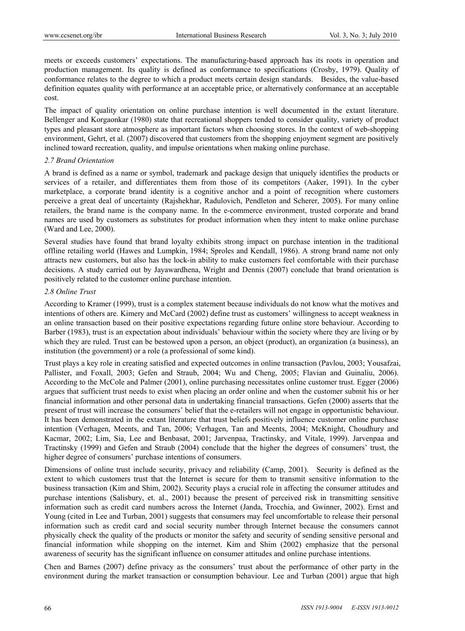meets or exceeds customers' expectations. The manufacturing-based approach has its roots in operation and production management. Its quality is defined as conformance to specifications (Crosby, 1979). Quality of conformance relates to the degree to which a product meets certain design standards. Besides, the value-based definition equates quality with performance at an acceptable price, or alternatively conformance at an acceptable cost.

The impact of quality orientation on online purchase intention is well documented in the extant literature. Bellenger and Korgaonkar (1980) state that recreational shoppers tended to consider quality, variety of product types and pleasant store atmosphere as important factors when choosing stores. In the context of web-shopping environment, Gehrt, et al. (2007) discovered that customers from the shopping enjoyment segment are positively inclined toward recreation, quality, and impulse orientations when making online purchase.

# *2.7 Brand Orientation*

A brand is defined as a name or symbol, trademark and package design that uniquely identifies the products or services of a retailer, and differentiates them from those of its competitors (Aaker, 1991). In the cyber marketplace, a corporate brand identity is a cognitive anchor and a point of recognition where customers perceive a great deal of uncertainty (Rajshekhar, Radulovich, Pendleton and Scherer, 2005). For many online retailers, the brand name is the company name. In the e-commerce environment, trusted corporate and brand names are used by customers as substitutes for product information when they intent to make online purchase (Ward and Lee, 2000).

Several studies have found that brand loyalty exhibits strong impact on purchase intention in the traditional offline retailing world (Hawes and Lumpkin, 1984; Sproles and Kendall, 1986). A strong brand name not only attracts new customers, but also has the lock-in ability to make customers feel comfortable with their purchase decisions. A study carried out by Jayawardhena, Wright and Dennis (2007) conclude that brand orientation is positively related to the customer online purchase intention.

# *2.8 Online Trust*

According to Kramer (1999), trust is a complex statement because individuals do not know what the motives and intentions of others are. Kimery and McCard (2002) define trust as customers' willingness to accept weakness in an online transaction based on their positive expectations regarding future online store behaviour. According to Barber (1983), trust is an expectation about individuals' behaviour within the society where they are living or by which they are ruled. Trust can be bestowed upon a person, an object (product), an organization (a business), an institution (the government) or a role (a professional of some kind).

Trust plays a key role in creating satisfied and expected outcomes in online transaction (Pavlou, 2003; Yousafzai, Pallister, and Foxall, 2003; Gefen and Straub, 2004; Wu and Cheng, 2005; Flavian and Guinaliu, 2006). According to the McCole and Palmer (2001), online purchasing necessitates online customer trust. Egger (2006) argues that sufficient trust needs to exist when placing an order online and when the customer submit his or her financial information and other personal data in undertaking financial transactions. Gefen (2000) asserts that the present of trust will increase the consumers' belief that the e-retailers will not engage in opportunistic behaviour. It has been demonstrated in the extant literature that trust beliefs positively influence customer online purchase intention (Verhagen, Meents, and Tan, 2006; Verhagen, Tan and Meents, 2004; McKnight, Choudhury and Kacmar, 2002; Lim, Sia, Lee and Benbasat, 2001; Jarvenpaa, Tractinsky, and Vitale, 1999). Jarvenpaa and Tractinsky (1999) and Gefen and Straub (2004) conclude that the higher the degrees of consumers' trust, the higher degree of consumers' purchase intentions of consumers.

Dimensions of online trust include security, privacy and reliability (Camp, 2001). Security is defined as the extent to which customers trust that the Internet is secure for them to transmit sensitive information to the business transaction (Kim and Shim, 2002). Security plays a crucial role in affecting the consumer attitudes and purchase intentions (Salisbury, et. al., 2001) because the present of perceived risk in transmitting sensitive information such as credit card numbers across the Internet (Janda, Trocchia, and Gwinner, 2002). Ernst and Young (cited in Lee and Turban, 2001) suggests that consumers may feel uncomfortable to release their personal information such as credit card and social security number through Internet because the consumers cannot physically check the quality of the products or monitor the safety and security of sending sensitive personal and financial information while shopping on the internet. Kim and Shim (2002) emphasize that the personal awareness of security has the significant influence on consumer attitudes and online purchase intentions.

Chen and Barnes (2007) define privacy as the consumers' trust about the performance of other party in the environment during the market transaction or consumption behaviour. Lee and Turban (2001) argue that high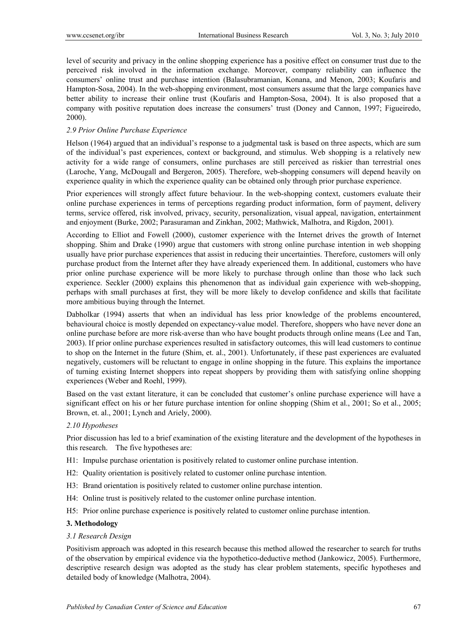level of security and privacy in the online shopping experience has a positive effect on consumer trust due to the perceived risk involved in the information exchange. Moreover, company reliability can influence the consumers' online trust and purchase intention (Balasubramanian, Konana, and Menon, 2003; Koufaris and Hampton-Sosa, 2004). In the web-shopping environment, most consumers assume that the large companies have better ability to increase their online trust (Koufaris and Hampton-Sosa, 2004). It is also proposed that a company with positive reputation does increase the consumers' trust (Doney and Cannon, 1997; Figueiredo, 2000).

# *2.9 Prior Online Purchase Experience*

Helson (1964) argued that an individual's response to a judgmental task is based on three aspects, which are sum of the individual's past experiences, context or background, and stimulus. Web shopping is a relatively new activity for a wide range of consumers, online purchases are still perceived as riskier than terrestrial ones (Laroche, Yang, McDougall and Bergeron, 2005). Therefore, web-shopping consumers will depend heavily on experience quality in which the experience quality can be obtained only through prior purchase experience.

Prior experiences will strongly affect future behaviour. In the web-shopping context, customers evaluate their online purchase experiences in terms of perceptions regarding product information, form of payment, delivery terms, service offered, risk involved, privacy, security, personalization, visual appeal, navigation, entertainment and enjoyment (Burke, 2002; Parasuraman and Zinkhan, 2002; Mathwick, Malhotra, and Rigdon, 2001).

According to Elliot and Fowell (2000), customer experience with the Internet drives the growth of Internet shopping. Shim and Drake (1990) argue that customers with strong online purchase intention in web shopping usually have prior purchase experiences that assist in reducing their uncertainties. Therefore, customers will only purchase product from the Internet after they have already experienced them. In additional, customers who have prior online purchase experience will be more likely to purchase through online than those who lack such experience. Seckler (2000) explains this phenomenon that as individual gain experience with web-shopping, perhaps with small purchases at first, they will be more likely to develop confidence and skills that facilitate more ambitious buying through the Internet.

Dabholkar (1994) asserts that when an individual has less prior knowledge of the problems encountered, behavioural choice is mostly depended on expectancy-value model. Therefore, shoppers who have never done an online purchase before are more risk-averse than who have bought products through online means (Lee and Tan, 2003). If prior online purchase experiences resulted in satisfactory outcomes, this will lead customers to continue to shop on the Internet in the future (Shim, et. al., 2001). Unfortunately, if these past experiences are evaluated negatively, customers will be reluctant to engage in online shopping in the future. This explains the importance of turning existing Internet shoppers into repeat shoppers by providing them with satisfying online shopping experiences (Weber and Roehl, 1999).

Based on the vast extant literature, it can be concluded that customer's online purchase experience will have a significant effect on his or her future purchase intention for online shopping (Shim et al., 2001; So et al., 2005; Brown, et. al., 2001; Lynch and Ariely, 2000).

# *2.10 Hypotheses*

Prior discussion has led to a brief examination of the existing literature and the development of the hypotheses in this research. The five hypotheses are:

- H1: Impulse purchase orientation is positively related to customer online purchase intention.
- H2: Quality orientation is positively related to customer online purchase intention.
- H3: Brand orientation is positively related to customer online purchase intention.
- H4: Online trust is positively related to the customer online purchase intention.
- H5: Prior online purchase experience is positively related to customer online purchase intention.

## **3. Methodology**

## *3.1 Research Design*

Positivism approach was adopted in this research because this method allowed the researcher to search for truths of the observation by empirical evidence via the hypothetico-deductive method (Jankowicz, 2005). Furthermore, descriptive research design was adopted as the study has clear problem statements, specific hypotheses and detailed body of knowledge (Malhotra, 2004).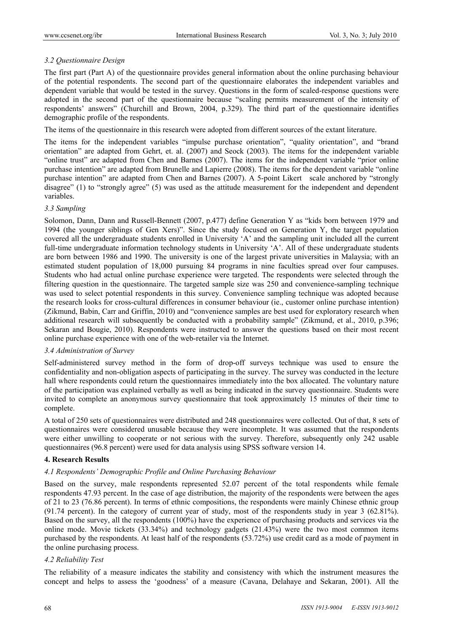## *3.2 Questionnaire Design*

The first part (Part A) of the questionnaire provides general information about the online purchasing behaviour of the potential respondents. The second part of the questionnaire elaborates the independent variables and dependent variable that would be tested in the survey. Questions in the form of scaled-response questions were adopted in the second part of the questionnaire because "scaling permits measurement of the intensity of respondents' answers" (Churchill and Brown, 2004, p.329). The third part of the questionnaire identifies demographic profile of the respondents.

The items of the questionnaire in this research were adopted from different sources of the extant literature.

The items for the independent variables "impulse purchase orientation", "quality orientation", and "brand orientation" are adapted from Gehrt, et. al. (2007) and Seock (2003). The items for the independent variable "online trust" are adapted from Chen and Barnes (2007). The items for the independent variable "prior online purchase intention" are adapted from Brunelle and Lapierre (2008). The items for the dependent variable "online purchase intention" are adapted from Chen and Barnes (2007). A 5-point Likert scale anchored by "strongly disagree" (1) to "strongly agree" (5) was used as the attitude measurement for the independent and dependent variables.

#### *3.3 Sampling*

Solomon, Dann, Dann and Russell-Bennett (2007, p.477) define Generation Y as "kids born between 1979 and 1994 (the younger siblings of Gen Xers)". Since the study focused on Generation Y, the target population covered all the undergraduate students enrolled in University 'A' and the sampling unit included all the current full-time undergraduate information technology students in University 'A'. All of these undergraduate students are born between 1986 and 1990. The university is one of the largest private universities in Malaysia; with an estimated student population of 18,000 pursuing 84 programs in nine faculties spread over four campuses. Students who had actual online purchase experience were targeted. The respondents were selected through the filtering question in the questionnaire. The targeted sample size was 250 and convenience-sampling technique was used to select potential respondents in this survey. Convenience sampling technique was adopted because the research looks for cross-cultural differences in consumer behaviour (ie., customer online purchase intention) (Zikmund, Babin, Carr and Griffin, 2010) and "convenience samples are best used for exploratory research when additional research will subsequently be conducted with a probability sample" (Zikmund, et al., 2010, p.396; Sekaran and Bougie, 2010). Respondents were instructed to answer the questions based on their most recent online purchase experience with one of the web-retailer via the Internet.

#### *3.4 Administration of Survey*

Self-administered survey method in the form of drop-off surveys technique was used to ensure the confidentiality and non-obligation aspects of participating in the survey. The survey was conducted in the lecture hall where respondents could return the questionnaires immediately into the box allocated. The voluntary nature of the participation was explained verbally as well as being indicated in the survey questionnaire. Students were invited to complete an anonymous survey questionnaire that took approximately 15 minutes of their time to complete.

A total of 250 sets of questionnaires were distributed and 248 questionnaires were collected. Out of that, 8 sets of questionnaires were considered unusable because they were incomplete. It was assumed that the respondents were either unwilling to cooperate or not serious with the survey. Therefore, subsequently only 242 usable questionnaires (96.8 percent) were used for data analysis using SPSS software version 14.

## **4. Research Results**

## *4.1 Respondents' Demographic Profile and Online Purchasing Behaviour*

Based on the survey, male respondents represented 52.07 percent of the total respondents while female respondents 47.93 percent. In the case of age distribution, the majority of the respondents were between the ages of 21 to 23 (76.86 percent). In terms of ethnic compositions, the respondents were mainly Chinese ethnic group (91.74 percent). In the category of current year of study, most of the respondents study in year 3 (62.81%). Based on the survey, all the respondents (100%) have the experience of purchasing products and services via the online mode. Movie tickets (33.34%) and technology gadgets (21.43%) were the two most common items purchased by the respondents. At least half of the respondents (53.72%) use credit card as a mode of payment in the online purchasing process.

## *4.2 Reliability Test*

The reliability of a measure indicates the stability and consistency with which the instrument measures the concept and helps to assess the 'goodness' of a measure (Cavana, Delahaye and Sekaran, 2001). All the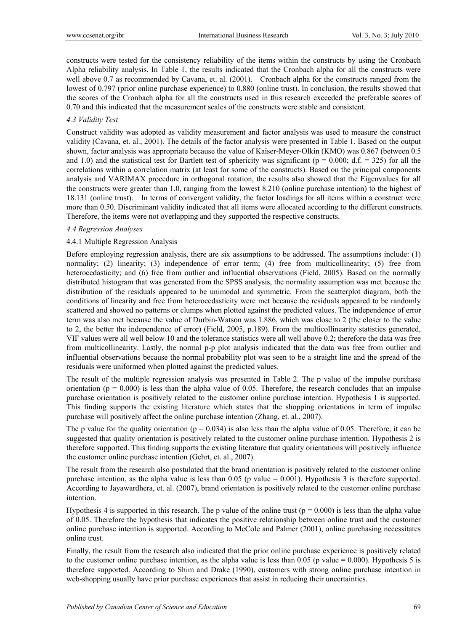constructs were tested for the consistency reliability of the items within the constructs by using the Cronbach Alpha reliability analysis. In Table 1, the results indicated that the Cronbach alpha for all the constructs were well above 0.7 as recommended by Cavana, et. al. (2001). Cronbach alpha for the constructs ranged from the lowest of 0.797 (prior online purchase experience) to 0.880 (online trust). In conclusion, the results showed that the scores of the Cronbach alpha for all the constructs used in this research exceeded the preferable scores of 0.70 and this indicated that the measurement scales of the constructs were stable and consistent.

# *4.3 Validity Test*

Construct validity was adopted as validity measurement and factor analysis was used to measure the construct validity (Cavana, et. al., 2001). The details of the factor analysis were presented in Table 1. Based on the output shown, factor analysis was appropriate because the value of Kaiser-Meyer-Olkin (KMO) was 0.867 (between 0.5 and 1.0) and the statistical test for Bartlett test of sphericity was significant ( $p = 0.000$ ; d.f. = 325) for all the correlations within a correlation matrix (at least for some of the constructs). Based on the principal components analysis and VARIMAX procedure in orthogonal rotation, the results also showed that the Eigenvalues for all the constructs were greater than 1.0, ranging from the lowest 8.210 (online purchase intention) to the highest of 18.131 (online trust). In terms of convergent validity, the factor loadings for all items within a construct were more than 0.50. Discriminant validity indicated that all items were allocated according to the different constructs. Therefore, the items were not overlapping and they supported the respective constructs.

## *4.4 Regression Analyses*

# 4.4.1 Multiple Regression Analysis

Before employing regression analysis, there are six assumptions to be addressed. The assumptions include: (1) normality; (2) linearity; (3) independence of error term; (4) free from multicollinearity; (5) free from heterocedasticity; and (6) free from outlier and influential observations (Field, 2005). Based on the normally distributed histogram that was generated from the SPSS analysis, the normality assumption was met because the distribution of the residuals appeared to be unimodal and symmetric. From the scatterplot diagram, both the conditions of linearity and free from heterocedasticity were met because the residuals appeared to be randomly scattered and showed no patterns or clumps when plotted against the predicted values. The independence of error term was also met because the value of Durbin-Watson was 1.886, which was close to 2 (the closer to the value to 2, the better the independence of error) (Field, 2005, p.189). From the multicollinearity statistics generated, VIF values were all well below 10 and the tolerance statistics were all well above 0.2; therefore the data was free from multicollinearity. Lastly, the normal p-p plot analysis indicated that the data was free from outlier and influential observations because the normal probability plot was seen to be a straight line and the spread of the residuals were uniformed when plotted against the predicted values.

The result of the multiple regression analysis was presented in Table 2. The p value of the impulse purchase orientation ( $p = 0.000$ ) is less than the alpha value of 0.05. Therefore, the research concludes that an impulse purchase orientation is positively related to the customer online purchase intention. Hypothesis 1 is supported. This finding supports the existing literature which states that the shopping orientations in term of impulse purchase will positively affect the online purchase intention (Zhang, et. al., 2007).

The p value for the quality orientation ( $p = 0.034$ ) is also less than the alpha value of 0.05. Therefore, it can be suggested that quality orientation is positively related to the customer online purchase intention. Hypothesis 2 is therefore supported. This finding supports the existing literature that quality orientations will positively influence the customer online purchase intention (Gehrt, et. al., 2007).

The result from the research also postulated that the brand orientation is positively related to the customer online purchase intention, as the alpha value is less than  $0.05$  (p value  $= 0.001$ ). Hypothesis 3 is therefore supported. According to Jayawardhera, et. al. (2007), brand orientation is positively related to the customer online purchase intention.

Hypothesis 4 is supported in this research. The p value of the online trust  $(p = 0.000)$  is less than the alpha value of 0.05. Therefore the hypothesis that indicates the positive relationship between online trust and the customer online purchase intention is supported. According to McCole and Palmer (2001), online purchasing necessitates online trust.

Finally, the result from the research also indicated that the prior online purchase experience is positively related to the customer online purchase intention, as the alpha value is less than 0.05 (p value = 0.000). Hypothesis 5 is therefore supported. According to Shim and Drake (1990), customers with strong online purchase intention in web-shopping usually have prior purchase experiences that assist in reducing their uncertainties.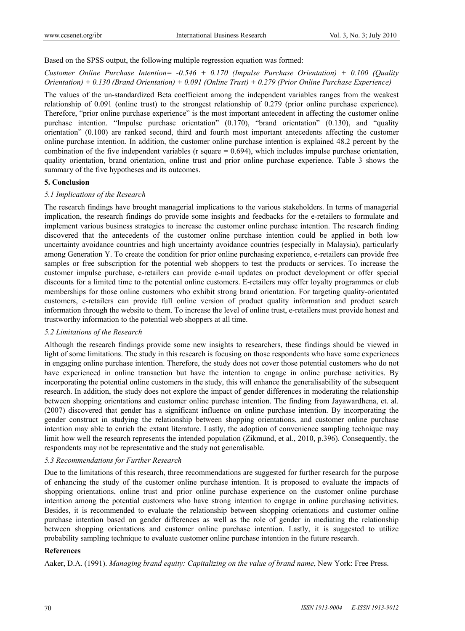Based on the SPSS output, the following multiple regression equation was formed:

*Customer Online Purchase Intention= -0.546 + 0.170 (Impulse Purchase Orientation) + 0.100 (Quality Orientation) + 0.130 (Brand Orientation) + 0.091 (Online Trust) + 0.279 (Prior Online Purchase Experience)* 

The values of the un-standardized Beta coefficient among the independent variables ranges from the weakest relationship of 0.091 (online trust) to the strongest relationship of 0.279 (prior online purchase experience). Therefore, "prior online purchase experience" is the most important antecedent in affecting the customer online purchase intention. "Impulse purchase orientation" (0.170), "brand orientation" (0.130), and "quality orientation" (0.100) are ranked second, third and fourth most important antecedents affecting the customer online purchase intention. In addition, the customer online purchase intention is explained 48.2 percent by the combination of the five independent variables (r square  $= 0.694$ ), which includes impulse purchase orientation, quality orientation, brand orientation, online trust and prior online purchase experience. Table 3 shows the summary of the five hypotheses and its outcomes.

#### **5. Conclusion**

#### *5.1 Implications of the Research*

The research findings have brought managerial implications to the various stakeholders. In terms of managerial implication, the research findings do provide some insights and feedbacks for the e-retailers to formulate and implement various business strategies to increase the customer online purchase intention. The research finding discovered that the antecedents of the customer online purchase intention could be applied in both low uncertainty avoidance countries and high uncertainty avoidance countries (especially in Malaysia), particularly among Generation Y. To create the condition for prior online purchasing experience, e-retailers can provide free samples or free subscription for the potential web shoppers to test the products or services. To increase the customer impulse purchase, e-retailers can provide e-mail updates on product development or offer special discounts for a limited time to the potential online customers. E-retailers may offer loyalty programmes or club memberships for those online customers who exhibit strong brand orientation. For targeting quality-orientated customers, e-retailers can provide full online version of product quality information and product search information through the website to them. To increase the level of online trust, e-retailers must provide honest and trustworthy information to the potential web shoppers at all time.

## *5.2 Limitations of the Research*

Although the research findings provide some new insights to researchers, these findings should be viewed in light of some limitations. The study in this research is focusing on those respondents who have some experiences in engaging online purchase intention. Therefore, the study does not cover those potential customers who do not have experienced in online transaction but have the intention to engage in online purchase activities. By incorporating the potential online customers in the study, this will enhance the generalisability of the subsequent research. In addition, the study does not explore the impact of gender differences in moderating the relationship between shopping orientations and customer online purchase intention. The finding from Jayawardhena, et. al. (2007) discovered that gender has a significant influence on online purchase intention. By incorporating the gender construct in studying the relationship between shopping orientations, and customer online purchase intention may able to enrich the extant literature. Lastly, the adoption of convenience sampling technique may limit how well the research represents the intended population (Zikmund, et al., 2010, p.396). Consequently, the respondents may not be representative and the study not generalisable.

## *5.3 Recommendations for Further Research*

Due to the limitations of this research, three recommendations are suggested for further research for the purpose of enhancing the study of the customer online purchase intention. It is proposed to evaluate the impacts of shopping orientations, online trust and prior online purchase experience on the customer online purchase intention among the potential customers who have strong intention to engage in online purchasing activities. Besides, it is recommended to evaluate the relationship between shopping orientations and customer online purchase intention based on gender differences as well as the role of gender in mediating the relationship between shopping orientations and customer online purchase intention. Lastly, it is suggested to utilize probability sampling technique to evaluate customer online purchase intention in the future research.

#### **References**

Aaker, D.A. (1991). *Managing brand equity: Capitalizing on the value of brand name*, New York: Free Press.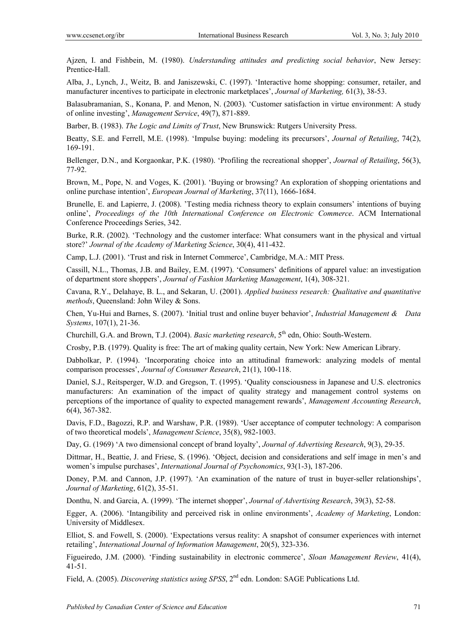Ajzen, I. and Fishbein, M. (1980). *Understanding attitudes and predicting social behavior*, New Jersey: Prentice-Hall.

Alba, J., Lynch, J., Weitz, B. and Janiszewski, C. (1997). 'Interactive home shopping: consumer, retailer, and manufacturer incentives to participate in electronic marketplaces', *Journal of Marketing,* 61(3), 38-53.

Balasubramanian, S., Konana, P. and Menon, N. (2003). 'Customer satisfaction in virtue environment: A study of online investing', *Management Service*, 49(7), 871-889.

Barber, B. (1983). *The Logic and Limits of Trust*, New Brunswick: Rutgers University Press.

Beatty, S.E. and Ferrell, M.E. (1998). 'Impulse buying: modeling its precursors', *Journal of Retailing*, 74(2), 169-191.

Bellenger, D.N., and Korgaonkar, P.K. (1980). 'Profiling the recreational shopper', *Journal of Retailing*, 56(3), 77-92.

Brown, M., Pope, N. and Voges, K. (2001). 'Buying or browsing? An exploration of shopping orientations and online purchase intention', *European Journal of Marketing*, 37(11), 1666-1684.

Brunelle, E. and Lapierre, J. (2008). 'Testing media richness theory to explain consumers' intentions of buying online', *Proceedings of the 10th International Conference on Electronic Commerce*. ACM International Conference Proceedings Series, 342.

Burke, R.R. (2002). 'Technology and the customer interface: What consumers want in the physical and virtual store?' *Journal of the Academy of Marketing Science*, 30(4), 411-432.

Camp, L.J. (2001). 'Trust and risk in Internet Commerce', Cambridge, M.A.: MIT Press.

Cassill, N.L., Thomas, J.B. and Bailey, E.M. (1997). 'Consumers' definitions of apparel value: an investigation of department store shoppers', *Journal of Fashion Marketing Management*, 1(4), 308-321.

Cavana, R.Y., Delahaye, B. L., and Sekaran, U. (2001). *Applied business research: Qualitative and quantitative methods*, Queensland: John Wiley & Sons.

Chen, Yu-Hui and Barnes, S. (2007). 'Initial trust and online buyer behavior', *Industrial Management & Data Systems*, 107(1), 21-36.

Churchill, G.A. and Brown, T.J. (2004). *Basic marketing research*, 5th edn, Ohio: South-Western.

Crosby, P.B. (1979). Quality is free: The art of making quality certain, New York: New American Library.

Dabholkar, P. (1994). 'Incorporating choice into an attitudinal framework: analyzing models of mental comparison processes', *Journal of Consumer Research*, 21(1), 100-118.

Daniel, S.J., Reitsperger, W.D. and Gregson, T. (1995). 'Quality consciousness in Japanese and U.S. electronics manufacturers: An examination of the impact of quality strategy and management control systems on perceptions of the importance of quality to expected management rewards', *Management Accounting Research*, 6(4), 367-382.

Davis, F.D., Bagozzi, R.P. and Warshaw, P.R. (1989). 'User acceptance of computer technology: A comparison of two theoretical models', *Management Science*, 35(8), 982-1003.

Day, G. (1969) 'A two dimensional concept of brand loyalty', *Journal of Advertising Research*, 9(3), 29-35.

Dittmar, H., Beattie, J. and Friese, S. (1996). 'Object, decision and considerations and self image in men's and women's impulse purchases', *International Journal of Psychonomics*, 93(1-3), 187-206.

Doney, P.M. and Cannon, J.P. (1997). 'An examination of the nature of trust in buyer-seller relationships', *Journal of Marketing*, 61(2), 35-51.

Donthu, N. and Garcia, A. (1999). 'The internet shopper', *Journal of Advertising Research*, 39(3), 52-58.

Egger, A. (2006). 'Intangibility and perceived risk in online environments', *Academy of Marketing*, London: University of Middlesex.

Elliot, S. and Fowell, S. (2000). 'Expectations versus reality: A snapshot of consumer experiences with internet retailing', *International Journal of Information Management*, 20(5), 323-336.

Figueiredo, J.M. (2000). 'Finding sustainability in electronic commerce', *Sloan Management Review*, 41(4), 41-51.

Field, A. (2005). *Discovering statistics using SPSS*, 2<sup>nd</sup> edn. London: SAGE Publications Ltd.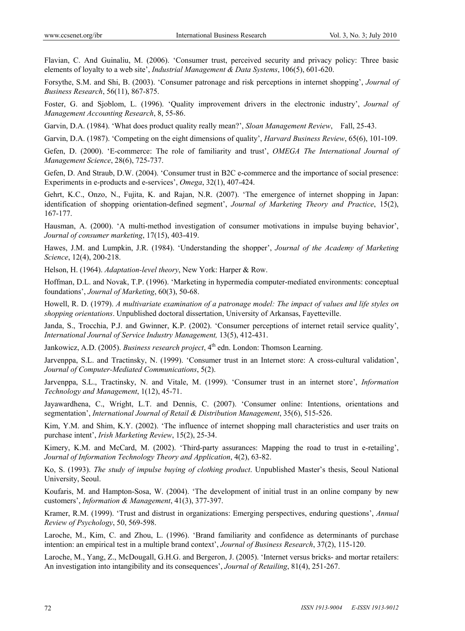Flavian, C. And Guinaliu, M. (2006). 'Consumer trust, perceived security and privacy policy: Three basic elements of loyalty to a web site', *Industrial Management & Data Systems*, 106(5), 601-620.

Forsythe, S.M. and Shi, B. (2003). 'Consumer patronage and risk perceptions in internet shopping', *Journal of Business Research*, 56(11), 867-875.

Foster, G. and Sjoblom, L. (1996). 'Quality improvement drivers in the electronic industry', *Journal of Management Accounting Research*, 8, 55-86.

Garvin, D.A. (1984). 'What does product quality really mean?', *Sloan Management Review*, Fall, 25-43.

Garvin, D.A. (1987). 'Competing on the eight dimensions of quality', *Harvard Business Review*, 65(6), 101-109.

Gefen, D. (2000). 'E-commerce: The role of familiarity and trust', *OMEGA The International Journal of Management Science*, 28(6), 725-737.

Gefen, D. And Straub, D.W. (2004). 'Consumer trust in B2C e-commerce and the importance of social presence: Experiments in e-products and e-services', *Omega*, 32(1), 407-424.

Gehrt, K.C., Onzo, N., Fujita, K. and Rajan, N.R. (2007). 'The emergence of internet shopping in Japan: identification of shopping orientation-defined segment', *Journal of Marketing Theory and Practice*, 15(2), 167-177.

Hausman, A. (2000). 'A multi-method investigation of consumer motivations in impulse buying behavior', *Journal of consumer marketing*, 17(15), 403-419.

Hawes, J.M. and Lumpkin, J.R. (1984). 'Understanding the shopper', *Journal of the Academy of Marketing Science*, 12(4), 200-218.

Helson, H. (1964). *Adaptation-level theory*, New York: Harper & Row.

Hoffman, D.L. and Novak, T.P. (1996). 'Marketing in hypermedia computer-mediated environments: conceptual foundations', *Journal of Marketing*, 60(3), 50-68.

Howell, R. D. (1979). *A multivariate examination of a patronage model: The impact of values and life styles on shopping orientations*. Unpublished doctoral dissertation, University of Arkansas, Fayetteville.

Janda, S., Trocchia, P.J. and Gwinner, K.P. (2002). 'Consumer perceptions of internet retail service quality', *International Journal of Service Industry Management,* 13(5), 412-431.

Jankowicz, A.D. (2005). *Business research project*, 4<sup>th</sup> edn. London: Thomson Learning.

Jarvenppa, S.L. and Tractinsky, N. (1999). 'Consumer trust in an Internet store: A cross-cultural validation', *Journal of Computer-Mediated Communications*, 5(2).

Jarvenppa, S.L., Tractinsky, N. and Vitale, M. (1999). 'Consumer trust in an internet store', *Information Technology and Management*, 1(12), 45-71.

Jayawardhena, C., Wright, L.T. and Dennis, C. (2007). 'Consumer online: Intentions, orientations and segmentation', *International Journal of Retail & Distribution Management*, 35(6), 515-526.

Kim, Y.M. and Shim, K.Y. (2002). 'The influence of internet shopping mall characteristics and user traits on purchase intent', *Irish Marketing Review*, 15(2), 25-34.

Kimery, K.M. and McCard, M. (2002). 'Third-party assurances: Mapping the road to trust in e-retailing', *Journal of Information Technology Theory and Application*, 4(2), 63-82.

Ko, S. (1993). *The study of impulse buying of clothing product*. Unpublished Master's thesis, Seoul National University, Seoul.

Koufaris, M. and Hampton-Sosa, W. (2004). 'The development of initial trust in an online company by new customers', *Information & Management*, 41(3), 377-397.

Kramer, R.M. (1999). 'Trust and distrust in organizations: Emerging perspectives, enduring questions', *Annual Review of Psychology*, 50, 569-598.

Laroche, M., Kim, C. and Zhou, L. (1996). 'Brand familiarity and confidence as determinants of purchase intention: an empirical test in a multiple brand context', *Journal of Business Research*, 37(2), 115-120.

Laroche, M., Yang, Z., McDougall, G.H.G. and Bergeron, J. (2005). 'Internet versus bricks- and mortar retailers: An investigation into intangibility and its consequences', *Journal of Retailing*, 81(4), 251-267.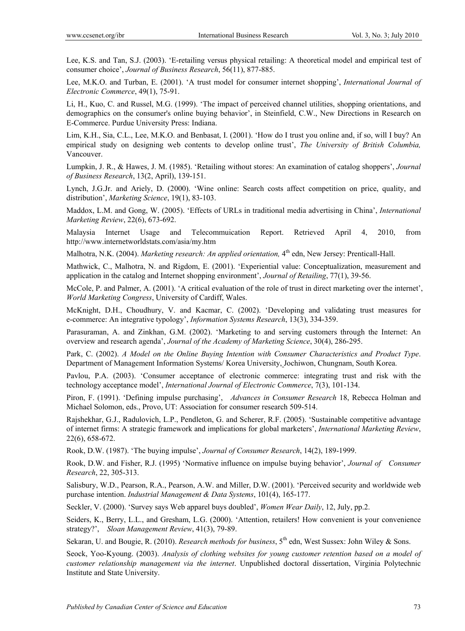Lee, K.S. and Tan, S.J. (2003). 'E-retailing versus physical retailing: A theoretical model and empirical test of consumer choice', *Journal of Business Research*, 56(11), 877-885.

Lee, M.K.O. and Turban, E. (2001). 'A trust model for consumer internet shopping', *International Journal of Electronic Commerce*, 49(1), 75-91.

Li, H., Kuo, C. and Russel, M.G. (1999). 'The impact of perceived channel utilities, shopping orientations, and demographics on the consumer's online buying behavior', in Steinfield, C.W., New Directions in Research on E-Commerce. Purdue University Press: Indiana.

Lim, K.H., Sia, C.L., Lee, M.K.O. and Benbasat, I. (2001). 'How do I trust you online and, if so, will I buy? An empirical study on designing web contents to develop online trust', *The University of British Columbia,*  Vancouver.

Lumpkin, J. R., & Hawes, J. M. (1985). 'Retailing without stores: An examination of catalog shoppers', *Journal of Business Research*, 13(2, April), 139-151.

Lynch, J.G.Jr. and Ariely, D. (2000). 'Wine online: Search costs affect competition on price, quality, and distribution', *Marketing Science*, 19(1), 83-103.

Maddox, L.M. and Gong, W. (2005). 'Effects of URLs in traditional media advertising in China', *International Marketing Review*, 22(6), 673-692.

Malaysia Internet Usage and Telecommuication Report. Retrieved April 4, 2010, from http://www.internetworldstats.com/asia/my.htm

Malhotra, N.K. (2004). *Marketing research: An applied orientation*, 4<sup>th</sup> edn, New Jersey: Prenticall-Hall.

Mathwick, C., Malhotra, N. and Rigdom, E. (2001). 'Experiential value: Conceptualization, measurement and application in the catalog and Internet shopping environment', *Journal of Retailing*, 77(1), 39-56.

McCole, P. and Palmer, A. (2001). 'A critical evaluation of the role of trust in direct marketing over the internet', *World Marketing Congress*, University of Cardiff, Wales.

McKnight, D.H., Choudhury, V. and Kacmar, C. (2002). 'Developing and validating trust measures for e-commerce: An integrative typology', *Information Systems Research*, 13(3), 334-359.

Parasuraman, A. and Zinkhan, G.M. (2002). 'Marketing to and serving customers through the Internet: An overview and research agenda', *Journal of the Academy of Marketing Science*, 30(4), 286-295.

Park, C. (2002). *A Model on the Online Buying Intention with Consumer Characteristics and Product Type*. Department of Management Information Systems/ Korea University, Jochiwon, Chungnam, South Korea.

Pavlou, P.A. (2003). 'Consumer acceptance of electronic commerce: integrating trust and risk with the technology acceptance model', *International Journal of Electronic Commerce*, 7(3), 101-134.

Piron, F. (1991). 'Defining impulse purchasing', *Advances in Consumer Research* 18, Rebecca Holman and Michael Solomon, eds., Provo, UT: Association for consumer research 509-514.

Rajshekhar, G.J., Radulovich, L.P., Pendleton, G. and Scherer, R.F. (2005). 'Sustainable competitive advantage of internet firms: A strategic framework and implications for global marketers', *International Marketing Review*, 22(6), 658-672.

Rook, D.W. (1987). 'The buying impulse', *Journal of Consumer Research*, 14(2), 189-1999.

Rook, D.W. and Fisher, R.J. (1995) 'Normative influence on impulse buying behavior', *Journal of Consumer Research*, 22, 305-313.

Salisbury, W.D., Pearson, R.A., Pearson, A.W. and Miller, D.W. (2001). 'Perceived security and worldwide web purchase intention. *Industrial Management & Data Systems*, 101(4), 165-177.

Seckler, V. (2000). 'Survey says Web apparel buys doubled', *Women Wear Daily*, 12, July, pp.2.

Seiders, K., Berry, L.L., and Gresham, L.G. (2000). 'Attention, retailers! How convenient is your convenience strategy?', *Sloan Management Review*, 41(3), 79-89.

Sekaran, U. and Bougie, R. (2010). *Research methods for business*, 5<sup>th</sup> edn, West Sussex: John Wiley & Sons.

Seock, Yoo-Kyoung. (2003). *Analysis of clothing websites for young customer retention based on a model of customer relationship management via the internet*. Unpublished doctoral dissertation, Virginia Polytechnic Institute and State University.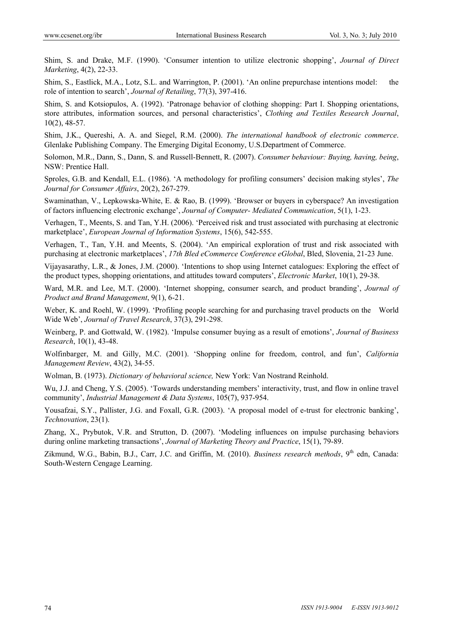Shim, S. and Drake, M.F. (1990). 'Consumer intention to utilize electronic shopping', *Journal of Direct Marketing*, 4(2), 22-33.

Shim, S., Eastlick, M.A., Lotz, S.L. and Warrington, P. (2001). 'An online prepurchase intentions model: the role of intention to search', *Journal of Retailing*, 77(3), 397-416.

Shim, S. and Kotsiopulos, A. (1992). 'Patronage behavior of clothing shopping: Part I. Shopping orientations, store attributes, information sources, and personal characteristics', *Clothing and Textiles Research Journal*, 10(2), 48-57.

Shim, J.K., Quereshi, A. A. and Siegel, R.M. (2000). *The international handbook of electronic commerce*. Glenlake Publishing Company. The Emerging Digital Economy, U.S.Department of Commerce.

Solomon, M.R., Dann, S., Dann, S. and Russell-Bennett, R. (2007). *Consumer behaviour: Buying, having, being*, NSW: Prentice Hall.

Sproles, G.B. and Kendall, E.L. (1986). 'A methodology for profiling consumers' decision making styles', *The Journal for Consumer Affairs*, 20(2), 267-279.

Swaminathan, V., Lepkowska-White, E. & Rao, B. (1999). 'Browser or buyers in cyberspace? An investigation of factors influencing electronic exchange', *Journal of Computer- Mediated Communication*, 5(1), 1-23.

Verhagen, T., Meents, S. and Tan, Y.H. (2006). 'Perceived risk and trust associated with purchasing at electronic marketplace', *European Journal of Information Systems*, 15(6), 542-555.

Verhagen, T., Tan, Y.H. and Meents, S. (2004). 'An empirical exploration of trust and risk associated with purchasing at electronic marketplaces', *17th Bled eCommerce Conference eGlobal*, Bled, Slovenia, 21-23 June.

Vijayasarathy, L.R., & Jones, J.M. (2000). 'Intentions to shop using Internet catalogues: Exploring the effect of the product types, shopping orientations, and attitudes toward computers', *Electronic Market*, 10(1), 29-38.

Ward, M.R. and Lee, M.T. (2000). 'Internet shopping, consumer search, and product branding', *Journal of Product and Brand Management*, 9(1), 6-21.

Weber, K. and Roehl, W. (1999). 'Profiling people searching for and purchasing travel products on the World Wide Web', *Journal of Travel Research*, 37(3), 291-298.

Weinberg, P. and Gottwald, W. (1982). 'Impulse consumer buying as a result of emotions', *Journal of Business Research*, 10(1), 43-48.

Wolfinbarger, M. and Gilly, M.C. (2001). 'Shopping online for freedom, control, and fun', *California Management Review*, 43(2), 34-55.

Wolman, B. (1973). *Dictionary of behavioral science,* New York: Van Nostrand Reinhold.

Wu, J.J. and Cheng, Y.S. (2005). 'Towards understanding members' interactivity, trust, and flow in online travel community', *Industrial Management & Data Systems*, 105(7), 937-954.

Yousafzai, S.Y., Pallister, J.G. and Foxall, G.R. (2003). 'A proposal model of e-trust for electronic banking', *Technovation*, 23(1).

Zhang, X., Prybutok, V.R. and Strutton, D. (2007). 'Modeling influences on impulse purchasing behaviors during online marketing transactions', *Journal of Marketing Theory and Practice*, 15(1), 79-89.

Zikmund, W.G., Babin, B.J., Carr, J.C. and Griffin, M. (2010). *Business research methods*, 9<sup>th</sup> edn, Canada: South-Western Cengage Learning.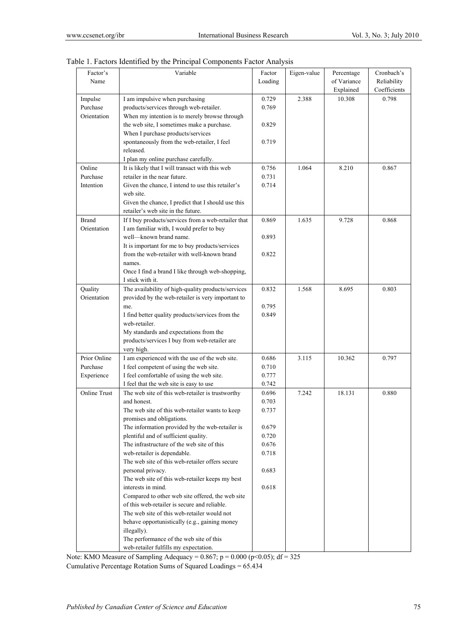| Factor's<br>Name | Variable                                            | Factor<br>Loading | Eigen-value | Percentage<br>of Variance<br>Explained | Cronbach's<br>Reliability<br>Coefficients |
|------------------|-----------------------------------------------------|-------------------|-------------|----------------------------------------|-------------------------------------------|
| Impulse          | I am impulsive when purchasing                      | 0.729             | 2.388       | 10.308                                 | 0.798                                     |
| Purchase         | products/services through web-retailer.             | 0.769             |             |                                        |                                           |
| Orientation      | When my intention is to merely browse through       |                   |             |                                        |                                           |
|                  | the web site, I sometimes make a purchase.          | 0.829             |             |                                        |                                           |
|                  | When I purchase products/services                   |                   |             |                                        |                                           |
|                  | spontaneously from the web-retailer, I feel         | 0.719             |             |                                        |                                           |
|                  | released.                                           |                   |             |                                        |                                           |
|                  | I plan my online purchase carefully.                |                   |             |                                        |                                           |
| Online           | It is likely that I will transact with this web     | 0.756             | 1.064       | 8.210                                  | 0.867                                     |
| Purchase         | retailer in the near future.                        | 0.731             |             |                                        |                                           |
| Intention        | Given the chance, I intend to use this retailer's   | 0.714             |             |                                        |                                           |
|                  | web site.                                           |                   |             |                                        |                                           |
|                  | Given the chance, I predict that I should use this  |                   |             |                                        |                                           |
|                  | retailer's web site in the future.                  |                   |             |                                        |                                           |
| <b>Brand</b>     | If I buy products/services from a web-retailer that | 0.869             | 1.635       | 9.728                                  | 0.868                                     |
| Orientation      | I am familiar with, I would prefer to buy           |                   |             |                                        |                                           |
|                  | well-known brand name.                              | 0.893             |             |                                        |                                           |
|                  | It is important for me to buy products/services     |                   |             |                                        |                                           |
|                  | from the web-retailer with well-known brand         | 0.822             |             |                                        |                                           |
|                  | names.                                              |                   |             |                                        |                                           |
|                  | Once I find a brand I like through web-shopping,    |                   |             |                                        |                                           |
|                  | I stick with it.                                    |                   |             |                                        |                                           |
| Quality          | The availability of high-quality products/services  | 0.832             | 1.568       | 8.695                                  | 0.803                                     |
| Orientation      | provided by the web-retailer is very important to   |                   |             |                                        |                                           |
|                  | me.                                                 | 0.795             |             |                                        |                                           |
|                  | I find better quality products/services from the    | 0.849             |             |                                        |                                           |
|                  | web-retailer.                                       |                   |             |                                        |                                           |
|                  | My standards and expectations from the              |                   |             |                                        |                                           |
|                  | products/services I buy from web-retailer are       |                   |             |                                        |                                           |
|                  | very high.                                          |                   |             |                                        |                                           |
| Prior Online     | I am experienced with the use of the web site.      | 0.686             | 3.115       | 10.362                                 | 0.797                                     |
| Purchase         | I feel competent of using the web site.             | 0.710             |             |                                        |                                           |
| Experience       | I feel comfortable of using the web site.           | 0.777             |             |                                        |                                           |
|                  | I feel that the web site is easy to use             | 0.742             |             |                                        |                                           |
| Online Trust     | The web site of this web-retailer is trustworthy    | 0.696             | 7.242       | 18.131                                 | 0.880                                     |
|                  | and honest.                                         | 0.703             |             |                                        |                                           |
|                  | The web site of this web-retailer wants to keep     | 0.737             |             |                                        |                                           |
|                  | promises and obligations.                           |                   |             |                                        |                                           |
|                  | The information provided by the web-retailer is     | 0.679             |             |                                        |                                           |
|                  | plentiful and of sufficient quality.                | 0.720             |             |                                        |                                           |
|                  | The infrastructure of the web site of this          | 0.676             |             |                                        |                                           |
|                  | web-retailer is dependable.                         | 0.718             |             |                                        |                                           |
|                  | The web site of this web-retailer offers secure     |                   |             |                                        |                                           |
|                  | personal privacy.                                   | 0.683             |             |                                        |                                           |
|                  | The web site of this web-retailer keeps my best     |                   |             |                                        |                                           |
|                  | interests in mind.                                  | 0.618             |             |                                        |                                           |
|                  | Compared to other web site offered, the web site    |                   |             |                                        |                                           |
|                  | of this web-retailer is secure and reliable.        |                   |             |                                        |                                           |
|                  | The web site of this web-retailer would not         |                   |             |                                        |                                           |
|                  | behave opportunistically (e.g., gaining money       |                   |             |                                        |                                           |
|                  | illegally).                                         |                   |             |                                        |                                           |
|                  | The performance of the web site of this             |                   |             |                                        |                                           |
|                  | web-retailer fulfills my expectation.               |                   |             |                                        |                                           |

Table 1. Factors Identified by the Principal Components Factor Analysis

Note: KMO Measure of Sampling Adequacy =  $0.867$ ; p =  $0.000$  (p<0.05); df = 325 Cumulative Percentage Rotation Sums of Squared Loadings = 65.434